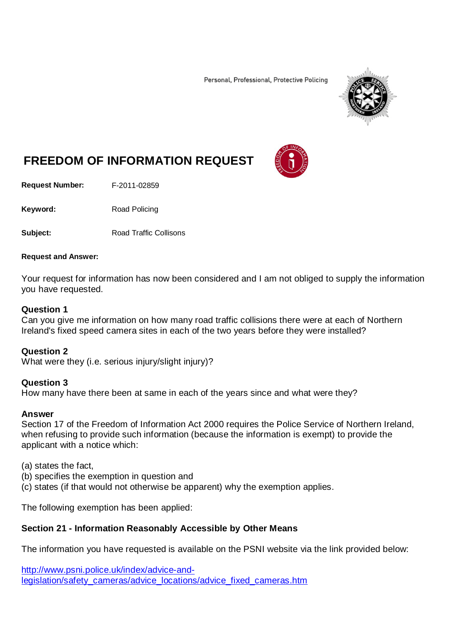Personal, Professional, Protective Policing



# **FREEDOM OF INFORMATION REQUEST**

**Request Number:** F-2011-02859

Keyword: Road Policing

**Subject:** Road Traffic Collisons

#### **Request and Answer:**

Your request for information has now been considered and I am not obliged to supply the information you have requested.

### **Question 1**

Can you give me information on how many road traffic collisions there were at each of Northern Ireland's fixed speed camera sites in each of the two years before they were installed?

### **Question 2**

What were they (i.e. serious injury/slight injury)?

### **Question 3**

How many have there been at same in each of the years since and what were they?

### **Answer**

Section 17 of the Freedom of Information Act 2000 requires the Police Service of Northern Ireland, when refusing to provide such information (because the information is exempt) to provide the applicant with a notice which:

(a) states the fact,

(b) specifies the exemption in question and

(c) states (if that would not otherwise be apparent) why the exemption applies.

The following exemption has been applied:

## **Section 21 - Information Reasonably Accessible by Other Means**

The information you have requested is available on the PSNI website via the link provided below:

[http://www.psni.police.uk/index/advice-and](http://www.psni.police.uk/index/advice-and-legislation/safety_cameras/advice_locations/advice_fixed_cameras.htm)[legislation/safety\\_cameras/advice\\_locations/advice\\_fixed\\_cameras.htm](http://www.psni.police.uk/index/advice-and-legislation/safety_cameras/advice_locations/advice_fixed_cameras.htm)